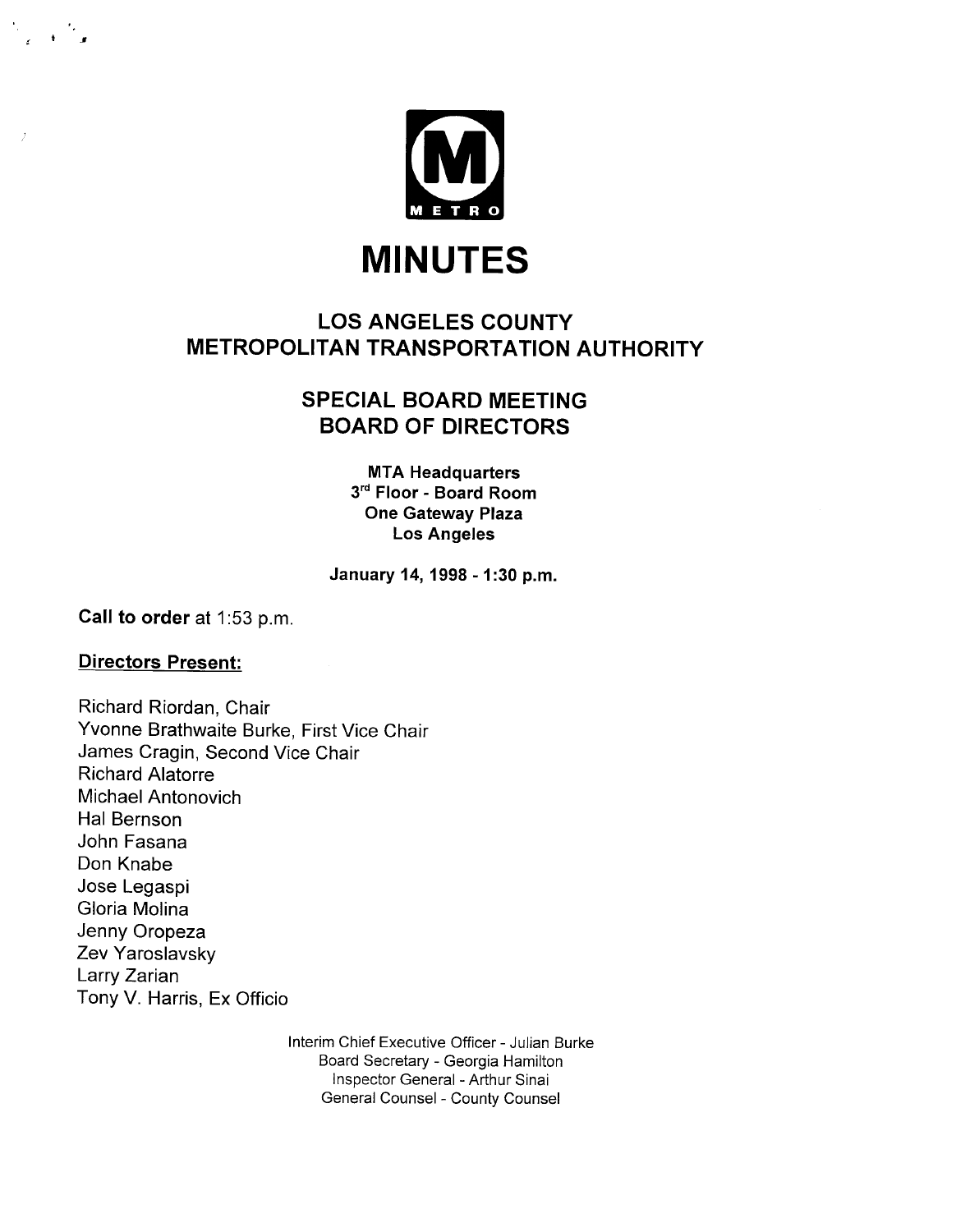

## LOS ANGELES COUNTY METROPOLITAN TRANSPORTATION AUTHORITY

## SPECIAL BOARD MEETING BOARD OF DIRECTORS

MTA Headquarters 3<sup>rd</sup> Floor - Board Room One Gateway Plaza Los Angeles

January 14, 1998 - 1 :30 p.m.

Call to order at 1:53 p.m.

## Directors Present:

 $\frac{1}{\sqrt{2}}$  ,  $\frac{1}{\sqrt{2}}$ 

Richard Riordan, Chair Yvonne Brathwaite Burke, First Vice Chair James Cragin, Second Vice Chair Richard Alatorre Michael Antonovich Hal Bernson John Fasana Don Knabe Jose Legaspi Gloria Molina Jenny Oropeza Zev Yaroslavsky Larry Zarian Tony V. Harris, Ex Officio

> Interim Chief Executive Officer - Julian Burke Board Secretary - Georgia Hamilton Inspector General - Arthur Sinai General Counsel - County Counsel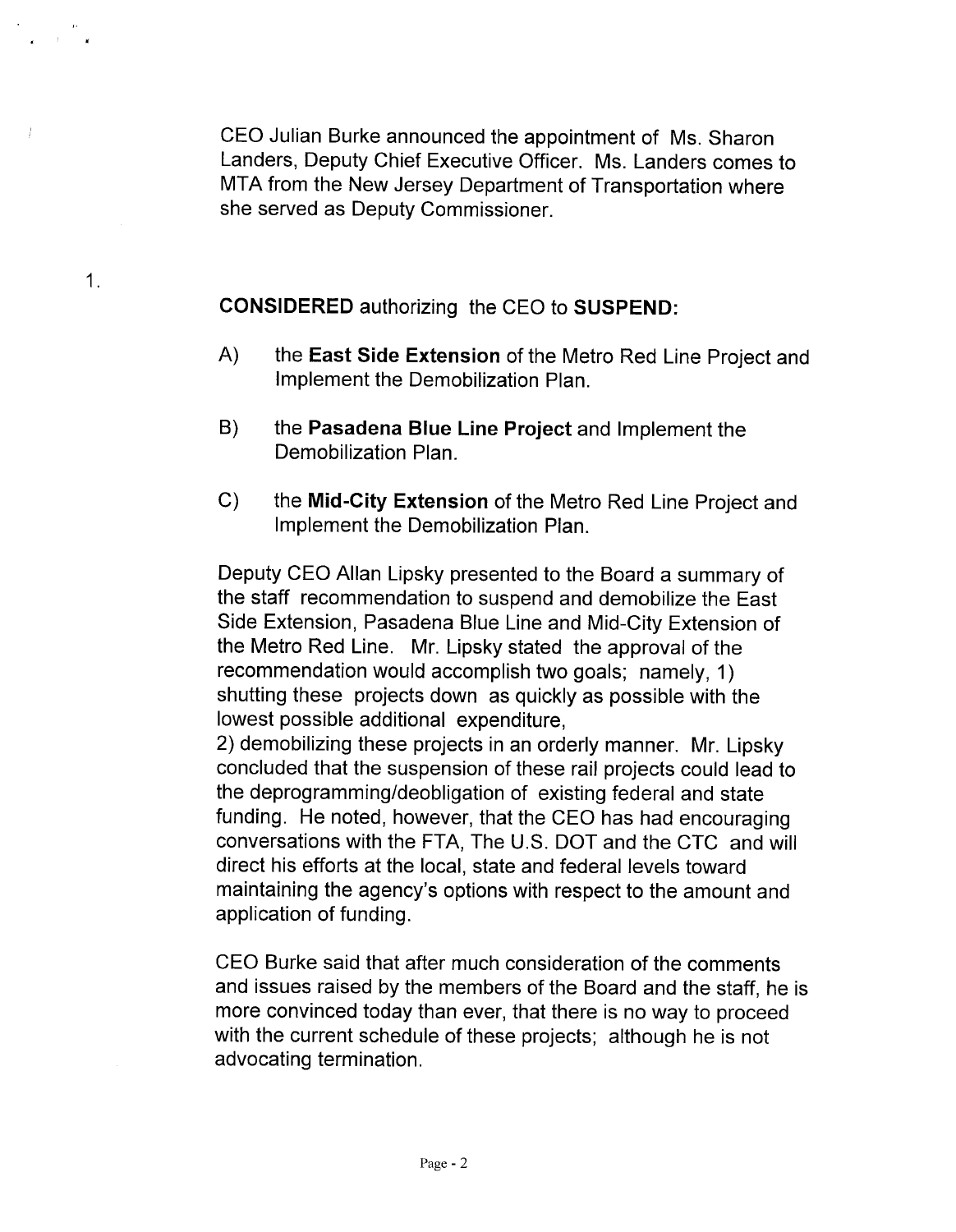CEO Julian Burke announced the appointment of Ms. Sharon Landers, Deputy Chief Executive Officer. Ms. Landers comes to MTA from the New Jersey Department of Transportation where she served as Deputy Commissioner.

CONSIDERED authorizing the CEO to SUSPEND:

1.

- A) the East Side Extension of the Metro Red Line Project and Implement the Demobilization Plan.
- B) the Pasadena Blue Line Project and Implement the Demobilization Plan.
- C) the Mid-City Extension of the Metro Red Line Project and Implement the Demobilization Plan.

Deputy CEO Allan Lipsky presented to the Board a summary of the staff recommendation to suspend and demobilize the East Side Extension, Pasadena Blue Line and Mid-City Extension of the Metro Red Line. Mr. Lipsky stated the approval of the recommendation would accomplish two goals; namely, 1) shutting these projects down as quickly as possible with the lowest possible additional expenditure,

2) demobilizing these projects in an orderly manner. Mr. Lipsky concluded that the suspension of these rail projects could lead to the deprogramming/deobligation of existing federal and state funding. He noted, however, that the CEO has had encouraging conversations with the FTA, The U.S. DOT and the CTC and will direct his efforts at the local, state and federal levels toward maintaining the agency's options with respect to the amount and application of funding.

CEO Burke said that after much consideration of the comments and issues raised by the members of the Board and the staff, he is more convinced today than ever, that there is no way to proceed with the current schedule of these projects; although he is not advocating termination.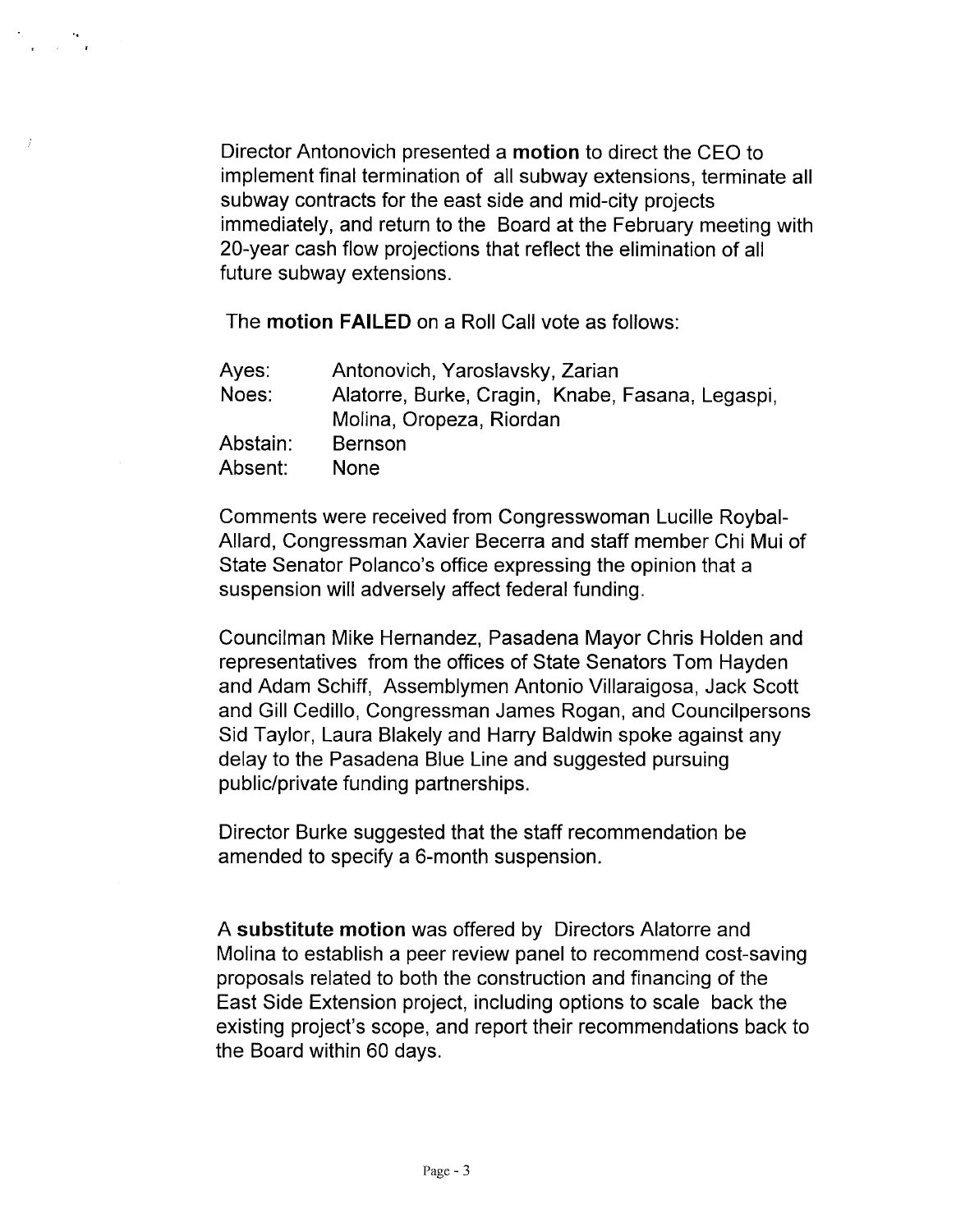Director Antonovich presented a motion to direct the CEO to implement final termination of all subway extensions, terminate all subway contracts for the east side and mid-city projects immediately, and return to the Board at the February meeting with 20-year cash flow projections that reflect the elimination of all future subway extensions.

The motion FAILED on a Roll Call vote as follows:

 $\frac{1}{\sqrt{2}}\left(\frac{1}{2}\right)^{1/2}$  .

| Antonovich, Yaroslavsky, Zarian                  |
|--------------------------------------------------|
| Alatorre, Burke, Cragin, Knabe, Fasana, Legaspi, |
| Molina, Oropeza, Riordan                         |
| <b>Bernson</b>                                   |
| <b>None</b>                                      |
|                                                  |

Comments were received from Congresswoman Lucille Roybal-Allard, Congressman Xavier Becerra and staff member Chi Mui of State Senator Polanco's office expressing the opinion that a suspension will adversely affect federal funding.

Councilman Mike Hernandez, Pasadena Mayor Chris Holden and representatives from the offices of State Senators Tom Hayden and Adam Schiff, Assemblymen Antonio Villaraigosa, Jack Scott and Gill Cedillo, Congressman James Rogan, and Councilpersons Sid Taylor, Laura Blakely and Harry Baldwin spoke against any delay to the Pasadena Blue Line and suggested pursuing public/private funding partnerships.

Director Burke suggested that the staff recommendation be amended to specify a 6-month suspension.

A substitute motion was offered by Directors Alatorre and Molina to establish a peer review panel to recommend cost-saving proposals related to both the construction and financing of the East Side Extension project, including options to scale back the existing project's scope, and report their recommendations back to the Board within 60 days.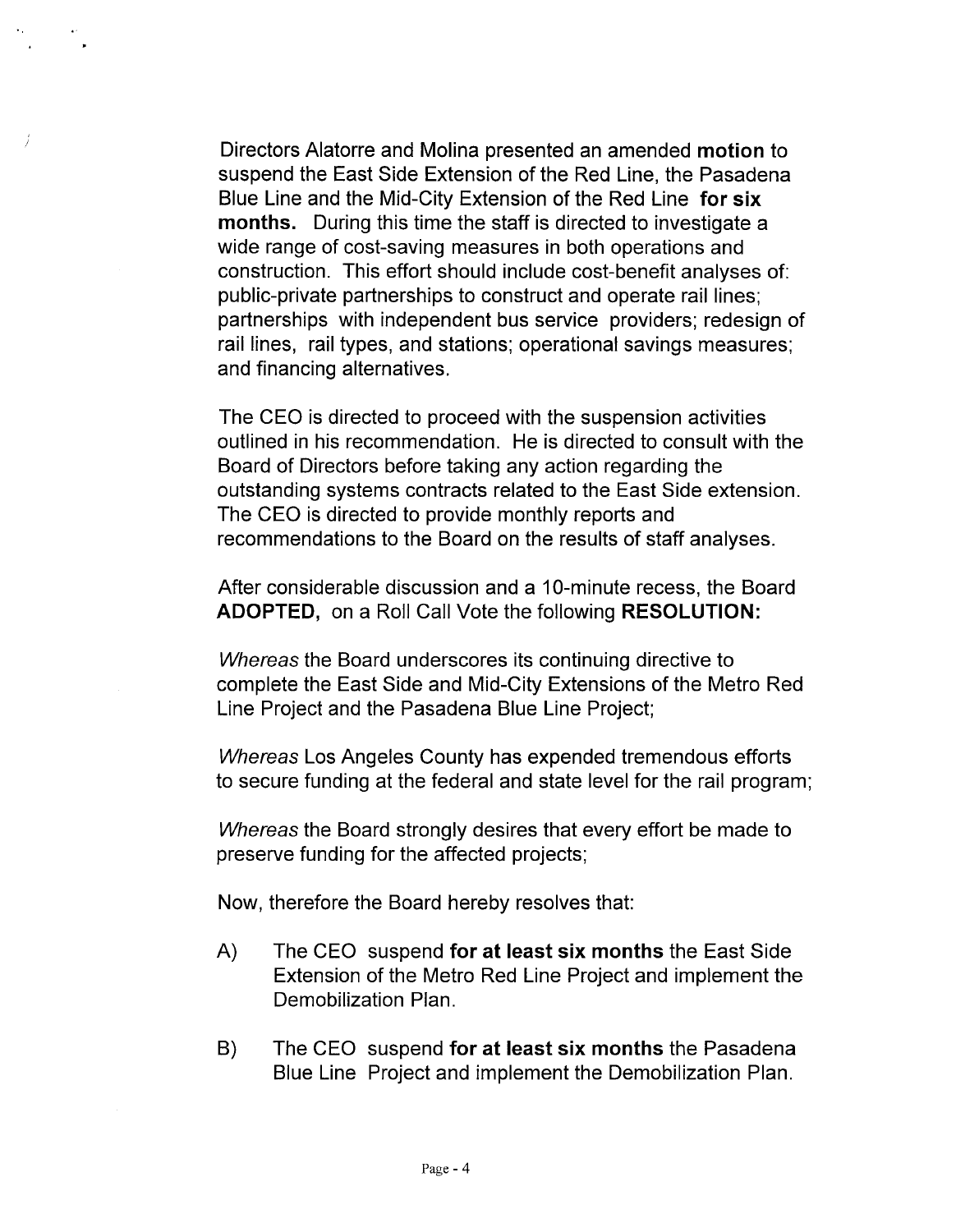Directors Alatorre and Molina presented an amended motion to suspend the East Side Extension of the Red Line, the Pasadena Blue Line and the Mid-City Extension of the Red Line for six months. During this time the staff is directed to investigate a wide range of cost-saving measures in both operations and construction. This effort should include cost-benefit analyses of: public-private partnerships to construct and operate rail lines; partnerships with independent bus service providers; redesign of rail lines, rail types, and stations; operational savings measures; and financing alternatives.

The CEO is directed to proceed with the suspension activities outlined in his recommendation. He is directed to consult with the Board of Directors before taking any action regarding the outstanding systems contracts related to the East Side extension. The CEO is directed to provide monthly reports and recommendations to the Board on the results of staff analyses.

After considerable discussion and a 10-minute recess, the Board ADOPTED, on a Roll Call Vote the following RESOLUTION:

Whereas the Board underscores its continuing directive to complete the East Side and Mid-City Extensions of the Metro Red Line Project and the Pasadena Blue Line Project;

Whereas Los Angeles County has expended tremendous efforts to secure funding at the federal and state level for the rail program;

Whereas the Board strongly desires that every effort be made to preserve funding for the affected projects;

Now, therefore the Board hereby resolves that:

- A) The CEO suspend for at least six months the East Side Extension of the Metro Red Line Project and implement the Demobilization Plan.
- B) The CEO suspend for at least six months the Pasadena Blue Line Project and implement the Demobilization Plan.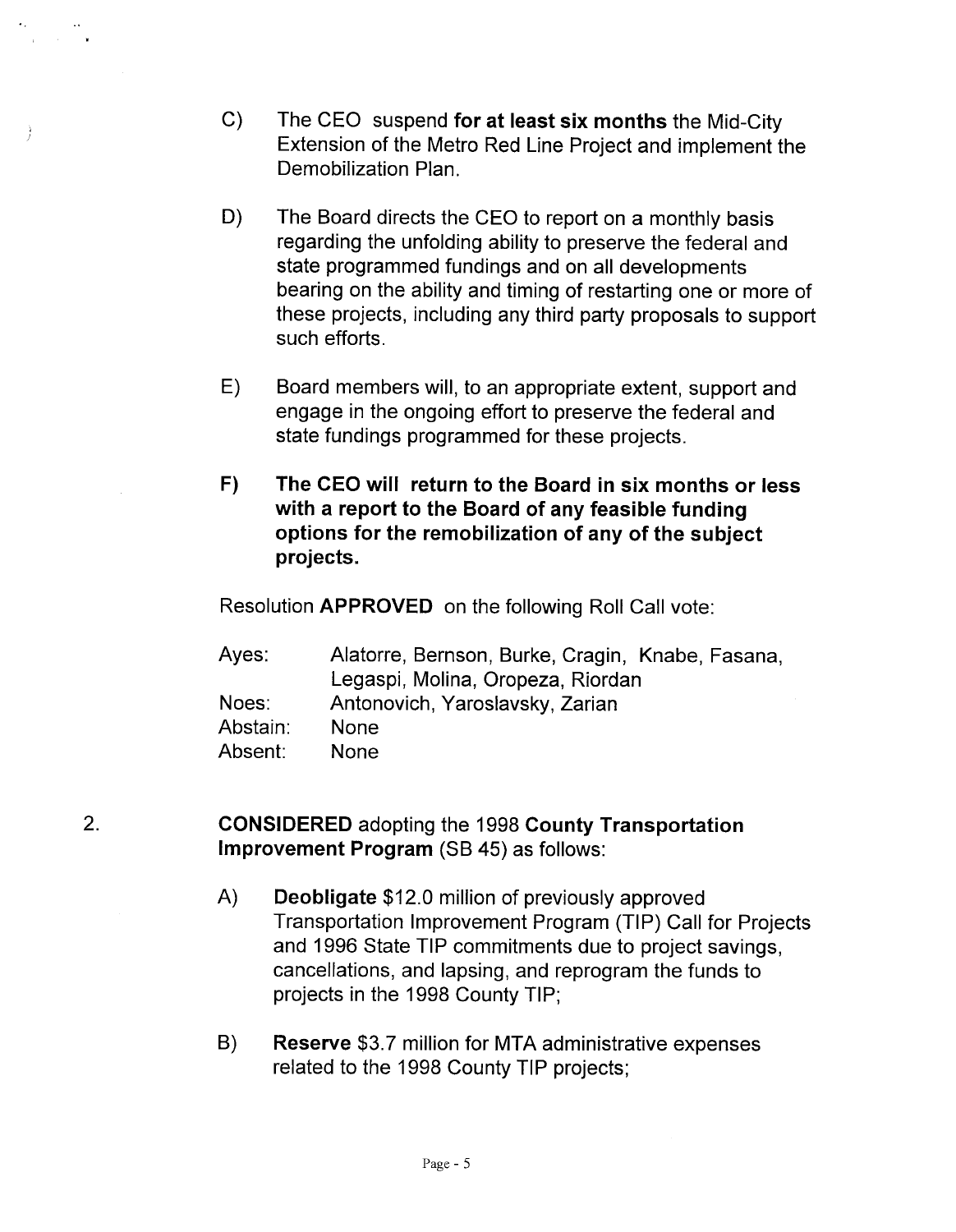- C) The CEO suspend for at least six months the Mid-City Extension of the Metro Red Line Project and implement the Demobilization Plan.
- D) The Board directs the CEO to report on a monthly basis regarding the unfolding ability to preserve the federal and state programmed fundings and on all developments bearing on the ability and timing of restarting one or more of these projects, including any third party proposals to support such efforts.
- E) Board members will, to an appropriate extent, support and engage in the ongoing effort to preserve the federal and state fundings programmed for these projects.
- F) The CEO will return to the Board in six months or less with a report to the Board of any feasible funding options for the remobilzation of any of the subject projects.

Resolution APPROVED on the following Roll Call vote:

| Ayes:    | Alatorre, Bernson, Burke, Cragin, Knabe, Fasana, |
|----------|--------------------------------------------------|
|          | Legaspi, Molina, Oropeza, Riordan                |
| Noes:    | Antonovich, Yaroslavsky, Zarian                  |
| Abstain: | <b>None</b>                                      |
| Absent:  | <b>None</b>                                      |

## 2. CONSIDERED adopting the 1998 County Transportation Improvement Program (SB 45) as follows:

- A) Deobligate \$12.0 million of previously approved Transportation Improvement Program (TIP) Call for Projects and 1996 State TIP commitments due to project savings, cancellations, and lapsing, and reprogram the funds to projects in the 1998 County TIP;
- B) Reserve \$3.7 million for MTA administrative expenses related to the 1998 County TIP projects;

Page - 5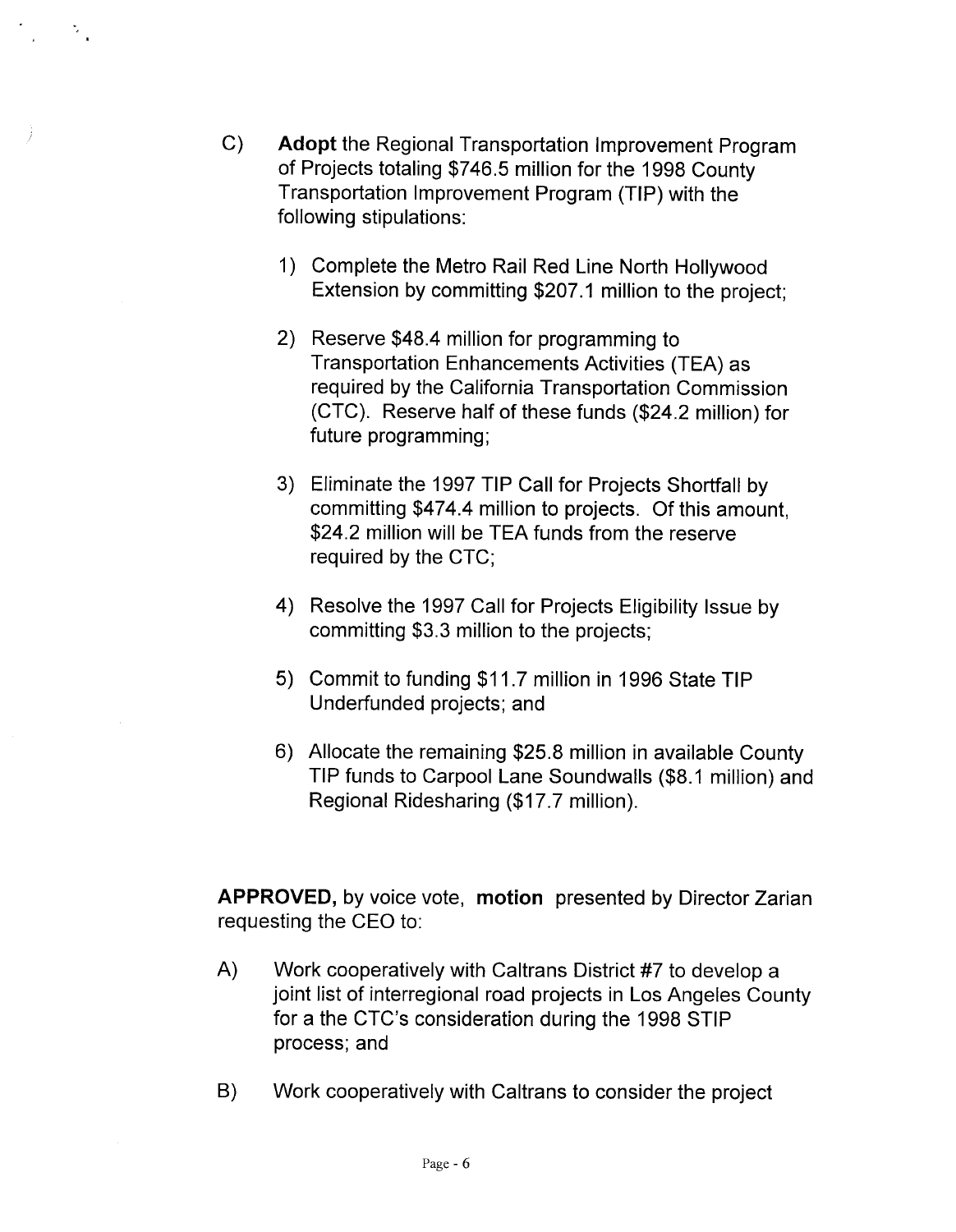C) Adopt the Regional Transportation Improvement Program of Projects totaling \$746.5 million for the 1998 County Transportation Improvement Program (TIP) with the following stipulations:

 $\frac{1}{2}$ 

- 1) Complete the Metro Rail Red Line North Hollywood Extension by committing \$207.1 million to the project;
- 2) Reserve \$48.4 million for programming to Transportation Enhancements Activities (TEA) as required by the California Transportation Commission (CTC). Reserve half of these funds (\$24.2 million) for future programming;
- 3) Eliminate the 1997 TIP Call for Projects Shortfall by committing \$474.4 million to projects. Of this amount, \$24.2 million will be TEA funds from the reserve required by the CTC;
- 4) Resolve the 1997 Call for Projects Eligibility Issue by committing \$3.3 million to the projects;
- 5) Commit to funding \$11.7 million in 1996 State TIP Underfunded projects; and
- 6) Allocate the remaining \$25.8 million in available County TIP funds to Carpool Lane Soundwalls (\$8.1 million) and Regional Ridesharing (\$17.7 million).

APPROVED, by voice vote, motion presented by Director Zarian requesting the CEO to:

- A) Work cooperatively with Caltrans District #7 to develop a joint list of interregional road projects in Los Angeles County for a the CTC's consideration during the 1998 STIP process; and
- B) Work cooperatively with Caltrans to consider the project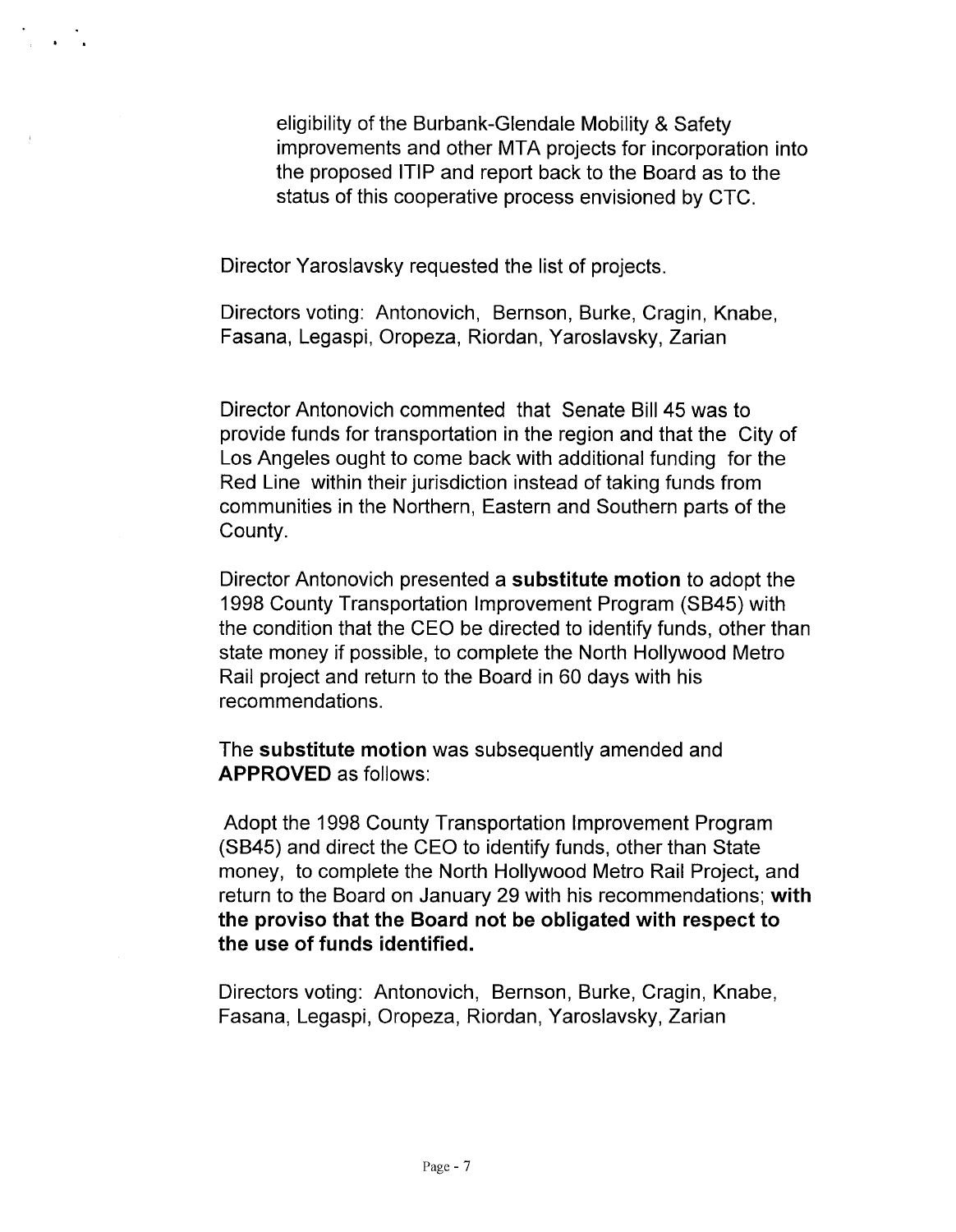eligibility of the Burbank-Glendale Mobility & Safety improvements and other MTA projects for incorporation into the proposed ITIP and report back to the Board as to the status of this cooperative process envisioned by CTC.

Director Yaroslavsky requested the list of projects.

Directors voting: Antonovich, Bernson, Burke, Cragin, Knabe, Fasana, Legaspi, Oropeza, Riordan, Yaroslavsky, Zarian

Director Antonovich commented that Senate Bill 45 was to provide funds for transportation in the region and that the City of Los Angeles ought to come back with additional funding for the Red Line within their jurisdiction instead of taking funds from communities in the Northern, Eastern and Southern parts of the County.

Director Antonovich presented a substitute motion to adopt the 1998 County Transportation Improvement Program (SB45) with the condition that the CEO be directed to identify funds, other than state money if possible, to complete the North Hollywood Metro Rail project and return to the Board in 60 days with his recommendations.

The substitute motion was subsequently amended and APPROVED as follows:

Adopt the 1998 County Transportation Improvement Program (SB45) and direct the CEO to identify funds, other than State money, to complete the North Hollywood Metro Rail Project, and return to the Board on January 29 with his recommendations; with the proviso that the Board not be obligated with respect to the use of funds identified.

Directors voting: Antonovich, Bernson, Burke, Cragin, Knabe, Fasana, Legaspi, Oropeza, Riordan, Yaroslavsky, Zarian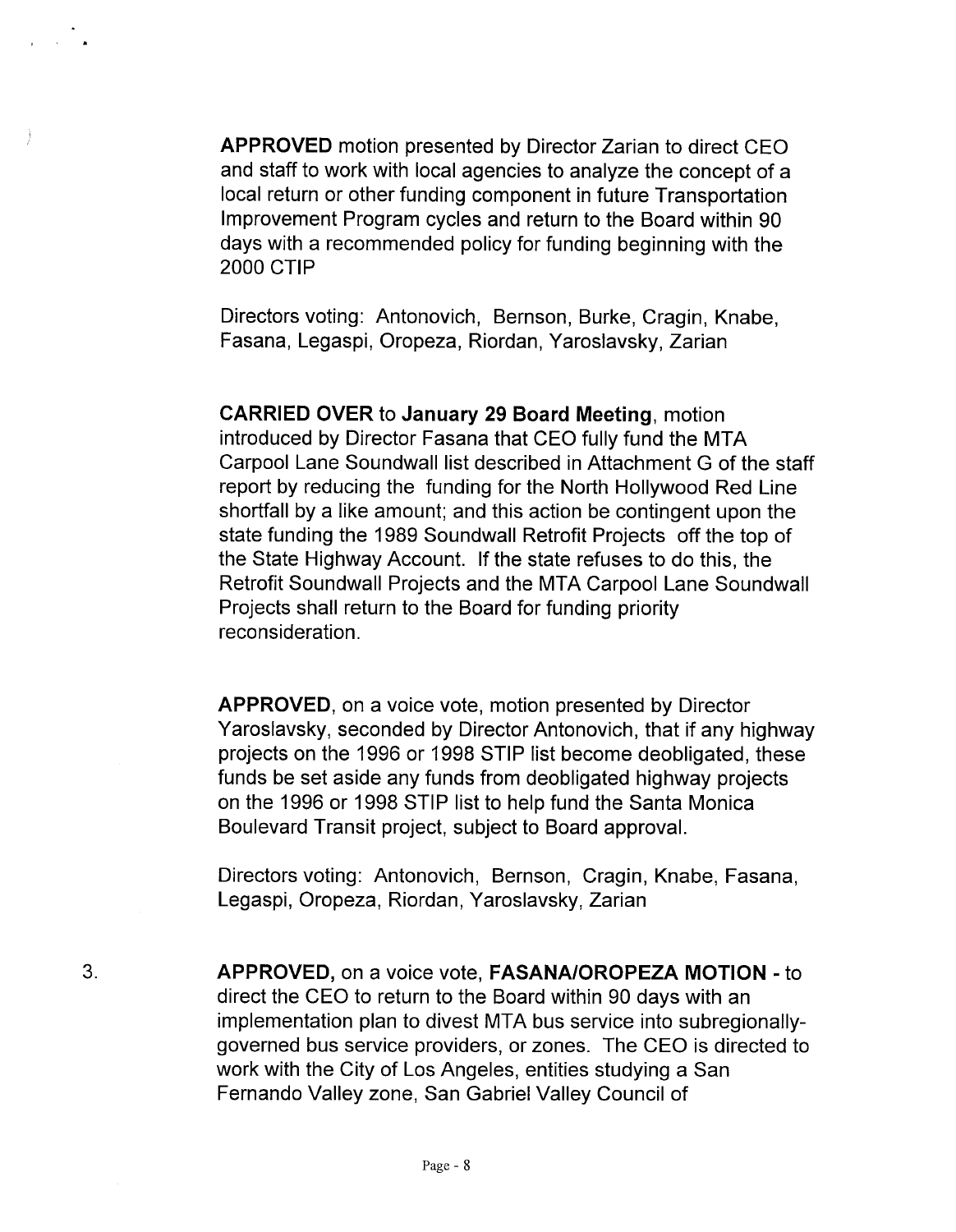APPROVED motion presented by Director Zarian to direct CEO and staff to work with local agencies to analyze the concept of a local return or other funding component in future Transportation Improvement Program cycles and return to the Board within 90 days with a recommended policy for funding beginning with the 2000 CTIP

a andre

Directors voting: Antonovich, Bernson, Burke, Cragin, Knabe, Fasana, Legaspi, Oropeza, Riordan, Yaroslavsky, Zarian

CARRIED OVER to January 29 Board Meeting, motion introduced by Director Fasana that CEO fully fund the MTA Carpool Lane Soundwall list described in Attachment G of the staff report by reducing the funding for the North Hollywood Red Line shortfall by a like amount; and this action be contingent upon the state funding the 1989 Soundwall Retrofit Projects off the top of the State Highway Account. If the state refuses to do this, the Retrofit Soundwall Projects and the MTA Carpool Lane Soundwall Projects shall return to the Board for funding priority reconsideration.

APPROVED, on a voice vote, motion presented by Director Yaroslavsky, seconded by Director Antonovich, that if any highway projects on the 1996 or 1998 STIP list become deobligated, these funds be set aside any funds from deobligated highway projects on the 1996 or 1998 STIP list to help fund the Santa Monica Boulevard Transit project, subject to Board approval.

Directors voting: Antonovich, Bernson, Cragin, Knabe, Fasana, Legaspi, Oropeza, Riordan, Yaroslavsky, Zarian

3. APPROVED, on a voice vote, FASANA/OROPEZA MOTION - to direct the CEO to return to the Board within 90 days with an implementation plan to divest MTA bus service into subregionallygoverned bus service providers, or zones. The CEO is directed to work with the City of Los Angeles, entities studying a San Fernando Valley zone, San Gabriel Valley Council of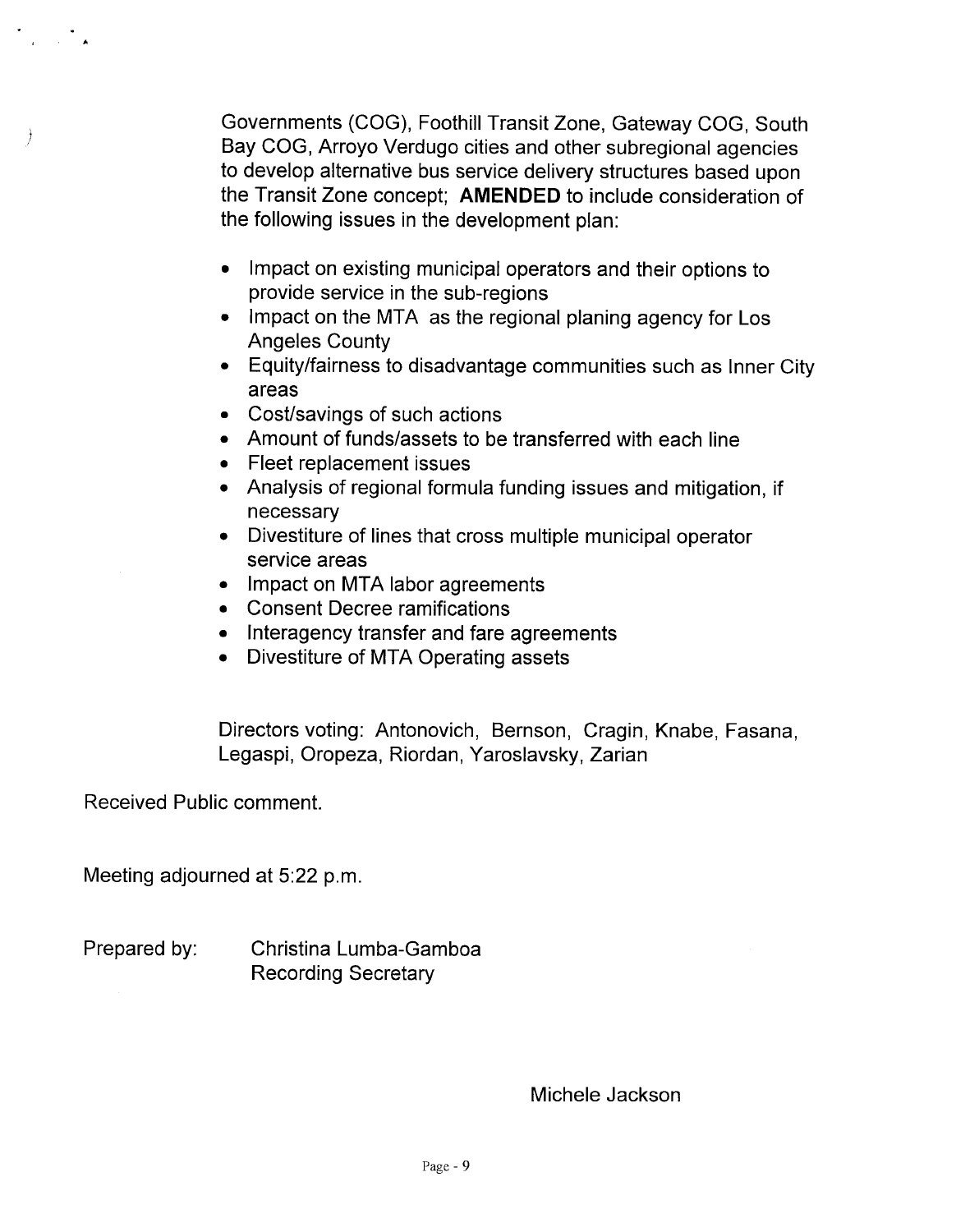Governments (COG), Foothill Transit Zone, Gateway COG, South Bay COG, Arroyo Verdugo cities and other subregional agencies to develop alternative bus service delivery structures based upon the Transit Zone concept; AMENDED to include consideration of the following issues in the development plan:

- Impact on existing municipal operators and their options to provide service in the sub-regions
- Impact on the MTA as the regional planing agency for Los Angeles County
- · Equity/fairness to disadvantage communities such as Inner City areas
- Cost/savings of such actions
- · Amount of funds/assets to be transferred with each line
- . Fleet replacement issues
- · Analysis of regional formula funding issues and mitigation, if necessary
- . Divestiture of lines that cross multiple municipal operator service areas
- Impact on MTA labor agreements
- · Consent Decree ramifications
- . Interagency transfer and fare agreements
- Divestiture of MTA Operating assets

Directors voting: Antonovich, Bernson, Cragin, Knabe, Fasana, Legaspi, Oropeza, Riordan, Yaroslavsky, Zarian

Received Public comment.

 $\mathcal{A} = \mathcal{A}$ 

)

Meeting adjourned at 5:22 p.m.

Prepared by: Christina Lumba-Gamboa Recording Secretary

Michele Jackson